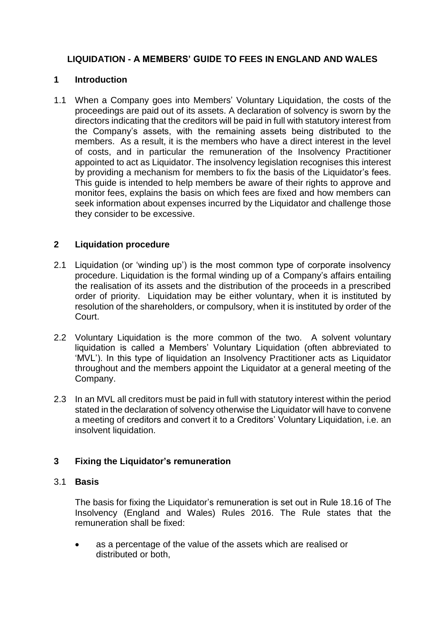# **LIQUIDATION - A MEMBERS' GUIDE TO FEES IN ENGLAND AND WALES**

## **1 Introduction**

1.1 When a Company goes into Members' Voluntary Liquidation, the costs of the proceedings are paid out of its assets. A declaration of solvency is sworn by the directors indicating that the creditors will be paid in full with statutory interest from the Company's assets, with the remaining assets being distributed to the members. As a result, it is the members who have a direct interest in the level of costs, and in particular the remuneration of the Insolvency Practitioner appointed to act as Liquidator. The insolvency legislation recognises this interest by providing a mechanism for members to fix the basis of the Liquidator's fees. This guide is intended to help members be aware of their rights to approve and monitor fees, explains the basis on which fees are fixed and how members can seek information about expenses incurred by the Liquidator and challenge those they consider to be excessive.

# **2 Liquidation procedure**

- 2.1 Liquidation (or 'winding up') is the most common type of corporate insolvency procedure. Liquidation is the formal winding up of a Company's affairs entailing the realisation of its assets and the distribution of the proceeds in a prescribed order of priority. Liquidation may be either voluntary, when it is instituted by resolution of the shareholders, or compulsory, when it is instituted by order of the Court.
- 2.2 Voluntary Liquidation is the more common of the two. A solvent voluntary liquidation is called a Members' Voluntary Liquidation (often abbreviated to 'MVL'). In this type of liquidation an Insolvency Practitioner acts as Liquidator throughout and the members appoint the Liquidator at a general meeting of the Company.
- 2.3 In an MVL all creditors must be paid in full with statutory interest within the period stated in the declaration of solvency otherwise the Liquidator will have to convene a meeting of creditors and convert it to a Creditors' Voluntary Liquidation, i.e. an insolvent liquidation.

# **3 Fixing the Liquidator's remuneration**

#### 3.1 **Basis**

The basis for fixing the Liquidator's remuneration is set out in Rule 18.16 of The Insolvency (England and Wales) Rules 2016. The Rule states that the remuneration shall be fixed:

• as a percentage of the value of the assets which are realised or distributed or both,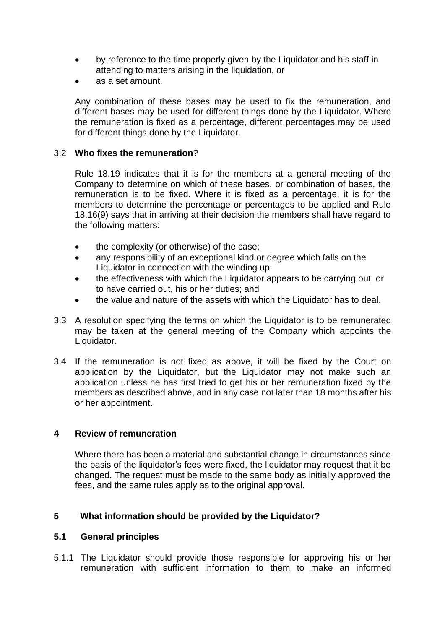- by reference to the time properly given by the Liquidator and his staff in attending to matters arising in the liquidation, or
- as a set amount.

Any combination of these bases may be used to fix the remuneration, and different bases may be used for different things done by the Liquidator. Where the remuneration is fixed as a percentage, different percentages may be used for different things done by the Liquidator.

#### 3.2 **Who fixes the remuneration**?

Rule 18.19 indicates that it is for the members at a general meeting of the Company to determine on which of these bases, or combination of bases, the remuneration is to be fixed. Where it is fixed as a percentage, it is for the members to determine the percentage or percentages to be applied and Rule 18.16(9) says that in arriving at their decision the members shall have regard to the following matters:

- the complexity (or otherwise) of the case;
- any responsibility of an exceptional kind or degree which falls on the Liquidator in connection with the winding up;
- the effectiveness with which the Liquidator appears to be carrying out, or to have carried out, his or her duties; and
- the value and nature of the assets with which the Liquidator has to deal.
- 3.3 A resolution specifying the terms on which the Liquidator is to be remunerated may be taken at the general meeting of the Company which appoints the Liquidator.
- 3.4 If the remuneration is not fixed as above, it will be fixed by the Court on application by the Liquidator, but the Liquidator may not make such an application unless he has first tried to get his or her remuneration fixed by the members as described above, and in any case not later than 18 months after his or her appointment.

#### **4 Review of remuneration**

Where there has been a material and substantial change in circumstances since the basis of the liquidator's fees were fixed, the liquidator may request that it be changed. The request must be made to the same body as initially approved the fees, and the same rules apply as to the original approval.

#### **5 What information should be provided by the Liquidator?**

#### **5.1 General principles**

5.1.1 The Liquidator should provide those responsible for approving his or her remuneration with sufficient information to them to make an informed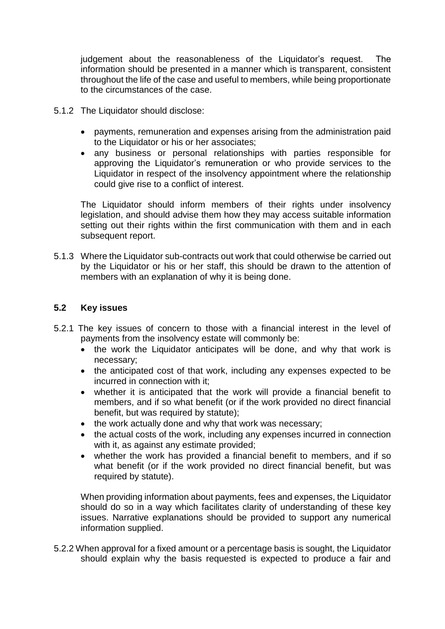judgement about the reasonableness of the Liquidator's request. The information should be presented in a manner which is transparent, consistent throughout the life of the case and useful to members, while being proportionate to the circumstances of the case.

- 5.1.2 The Liquidator should disclose:
	- payments, remuneration and expenses arising from the administration paid to the Liquidator or his or her associates;
	- any business or personal relationships with parties responsible for approving the Liquidator's remuneration or who provide services to the Liquidator in respect of the insolvency appointment where the relationship could give rise to a conflict of interest.

The Liquidator should inform members of their rights under insolvency legislation, and should advise them how they may access suitable information setting out their rights within the first communication with them and in each subsequent report.

5.1.3 Where the Liquidator sub-contracts out work that could otherwise be carried out by the Liquidator or his or her staff, this should be drawn to the attention of members with an explanation of why it is being done.

#### **5.2 Key issues**

- 5.2.1 The key issues of concern to those with a financial interest in the level of payments from the insolvency estate will commonly be:
	- the work the Liquidator anticipates will be done, and why that work is necessary;
	- the anticipated cost of that work, including any expenses expected to be incurred in connection with it;
	- whether it is anticipated that the work will provide a financial benefit to members, and if so what benefit (or if the work provided no direct financial benefit, but was required by statute);
	- the work actually done and why that work was necessary;
	- the actual costs of the work, including any expenses incurred in connection with it, as against any estimate provided;
	- whether the work has provided a financial benefit to members, and if so what benefit (or if the work provided no direct financial benefit, but was required by statute).

When providing information about payments, fees and expenses, the Liquidator should do so in a way which facilitates clarity of understanding of these key issues. Narrative explanations should be provided to support any numerical information supplied.

5.2.2 When approval for a fixed amount or a percentage basis is sought, the Liquidator should explain why the basis requested is expected to produce a fair and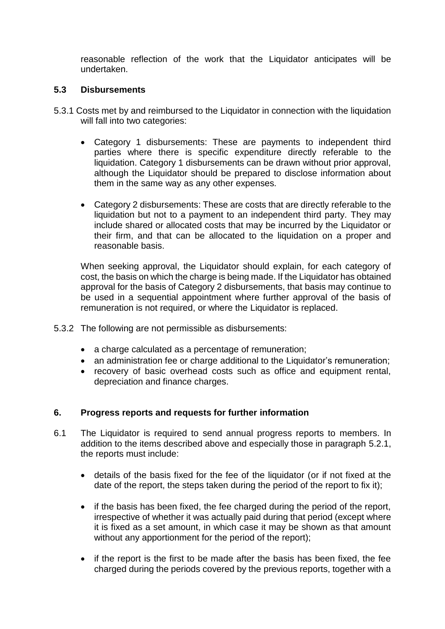reasonable reflection of the work that the Liquidator anticipates will be undertaken.

## **5.3 Disbursements**

- 5.3.1 Costs met by and reimbursed to the Liquidator in connection with the liquidation will fall into two categories:
	- Category 1 disbursements: These are payments to independent third parties where there is specific expenditure directly referable to the liquidation. Category 1 disbursements can be drawn without prior approval, although the Liquidator should be prepared to disclose information about them in the same way as any other expenses.
	- Category 2 disbursements: These are costs that are directly referable to the liquidation but not to a payment to an independent third party. They may include shared or allocated costs that may be incurred by the Liquidator or their firm, and that can be allocated to the liquidation on a proper and reasonable basis.

When seeking approval, the Liquidator should explain, for each category of cost, the basis on which the charge is being made. If the Liquidator has obtained approval for the basis of Category 2 disbursements, that basis may continue to be used in a sequential appointment where further approval of the basis of remuneration is not required, or where the Liquidator is replaced.

- 5.3.2 The following are not permissible as disbursements:
	- a charge calculated as a percentage of remuneration;
	- an administration fee or charge additional to the Liquidator's remuneration;
	- recovery of basic overhead costs such as office and equipment rental, depreciation and finance charges.

# **6. Progress reports and requests for further information**

- 6.1 The Liquidator is required to send annual progress reports to members. In addition to the items described above and especially those in paragraph 5.2.1, the reports must include:
	- details of the basis fixed for the fee of the liquidator (or if not fixed at the date of the report, the steps taken during the period of the report to fix it);
	- if the basis has been fixed, the fee charged during the period of the report, irrespective of whether it was actually paid during that period (except where it is fixed as a set amount, in which case it may be shown as that amount without any apportionment for the period of the report);
	- if the report is the first to be made after the basis has been fixed, the fee charged during the periods covered by the previous reports, together with a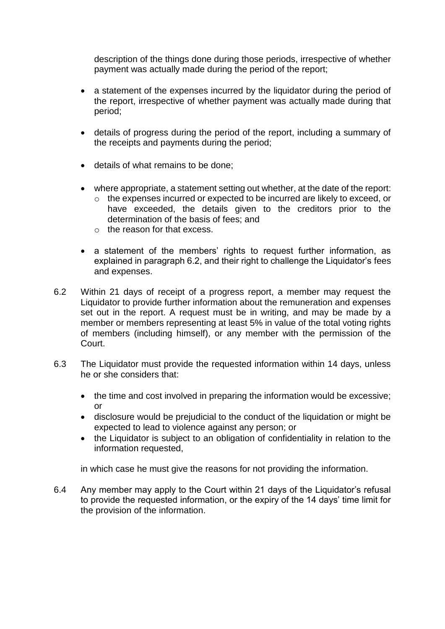description of the things done during those periods, irrespective of whether payment was actually made during the period of the report;

- a statement of the expenses incurred by the liquidator during the period of the report, irrespective of whether payment was actually made during that period;
- details of progress during the period of the report, including a summary of the receipts and payments during the period;
- details of what remains to be done;
- where appropriate, a statement setting out whether, at the date of the report:
	- o the expenses incurred or expected to be incurred are likely to exceed, or have exceeded, the details given to the creditors prior to the determination of the basis of fees; and
	- o the reason for that excess.
- a statement of the members' rights to request further information, as explained in paragraph 6.2, and their right to challenge the Liquidator's fees and expenses.
- 6.2 Within 21 days of receipt of a progress report, a member may request the Liquidator to provide further information about the remuneration and expenses set out in the report. A request must be in writing, and may be made by a member or members representing at least 5% in value of the total voting rights of members (including himself), or any member with the permission of the Court.
- 6.3 The Liquidator must provide the requested information within 14 days, unless he or she considers that:
	- the time and cost involved in preparing the information would be excessive; or
	- disclosure would be prejudicial to the conduct of the liquidation or might be expected to lead to violence against any person; or
	- the Liquidator is subject to an obligation of confidentiality in relation to the information requested,

in which case he must give the reasons for not providing the information.

6.4 Any member may apply to the Court within 21 days of the Liquidator's refusal to provide the requested information, or the expiry of the 14 days' time limit for the provision of the information.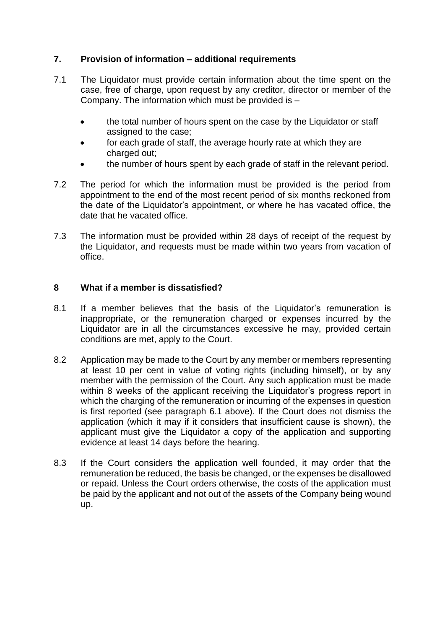# **7. Provision of information – additional requirements**

- 7.1 The Liquidator must provide certain information about the time spent on the case, free of charge, upon request by any creditor, director or member of the Company. The information which must be provided is –
	- the total number of hours spent on the case by the Liquidator or staff assigned to the case;
	- for each grade of staff, the average hourly rate at which they are charged out;
	- the number of hours spent by each grade of staff in the relevant period.
- 7.2 The period for which the information must be provided is the period from appointment to the end of the most recent period of six months reckoned from the date of the Liquidator's appointment, or where he has vacated office, the date that he vacated office.
- 7.3 The information must be provided within 28 days of receipt of the request by the Liquidator, and requests must be made within two years from vacation of office.

#### **8 What if a member is dissatisfied?**

- 8.1 If a member believes that the basis of the Liquidator's remuneration is inappropriate, or the remuneration charged or expenses incurred by the Liquidator are in all the circumstances excessive he may, provided certain conditions are met, apply to the Court.
- 8.2 Application may be made to the Court by any member or members representing at least 10 per cent in value of voting rights (including himself), or by any member with the permission of the Court. Any such application must be made within 8 weeks of the applicant receiving the Liquidator's progress report in which the charging of the remuneration or incurring of the expenses in question is first reported (see paragraph 6.1 above). If the Court does not dismiss the application (which it may if it considers that insufficient cause is shown), the applicant must give the Liquidator a copy of the application and supporting evidence at least 14 days before the hearing.
- 8.3 If the Court considers the application well founded, it may order that the remuneration be reduced, the basis be changed, or the expenses be disallowed or repaid. Unless the Court orders otherwise, the costs of the application must be paid by the applicant and not out of the assets of the Company being wound up.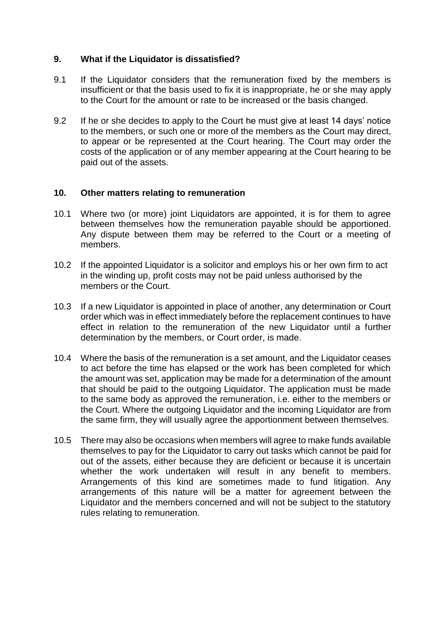## **9. What if the Liquidator is dissatisfied?**

- 9.1 If the Liquidator considers that the remuneration fixed by the members is insufficient or that the basis used to fix it is inappropriate, he or she may apply to the Court for the amount or rate to be increased or the basis changed.
- 9.2 If he or she decides to apply to the Court he must give at least 14 days' notice to the members, or such one or more of the members as the Court may direct, to appear or be represented at the Court hearing. The Court may order the costs of the application or of any member appearing at the Court hearing to be paid out of the assets.

#### **10. Other matters relating to remuneration**

- 10.1 Where two (or more) joint Liquidators are appointed, it is for them to agree between themselves how the remuneration payable should be apportioned. Any dispute between them may be referred to the Court or a meeting of members.
- 10.2 If the appointed Liquidator is a solicitor and employs his or her own firm to act in the winding up, profit costs may not be paid unless authorised by the members or the Court.
- 10.3 If a new Liquidator is appointed in place of another, any determination or Court order which was in effect immediately before the replacement continues to have effect in relation to the remuneration of the new Liquidator until a further determination by the members, or Court order, is made.
- 10.4 Where the basis of the remuneration is a set amount, and the Liquidator ceases to act before the time has elapsed or the work has been completed for which the amount was set, application may be made for a determination of the amount that should be paid to the outgoing Liquidator. The application must be made to the same body as approved the remuneration, i.e. either to the members or the Court. Where the outgoing Liquidator and the incoming Liquidator are from the same firm, they will usually agree the apportionment between themselves.
- 10.5 There may also be occasions when members will agree to make funds available themselves to pay for the Liquidator to carry out tasks which cannot be paid for out of the assets, either because they are deficient or because it is uncertain whether the work undertaken will result in any benefit to members. Arrangements of this kind are sometimes made to fund litigation. Any arrangements of this nature will be a matter for agreement between the Liquidator and the members concerned and will not be subject to the statutory rules relating to remuneration.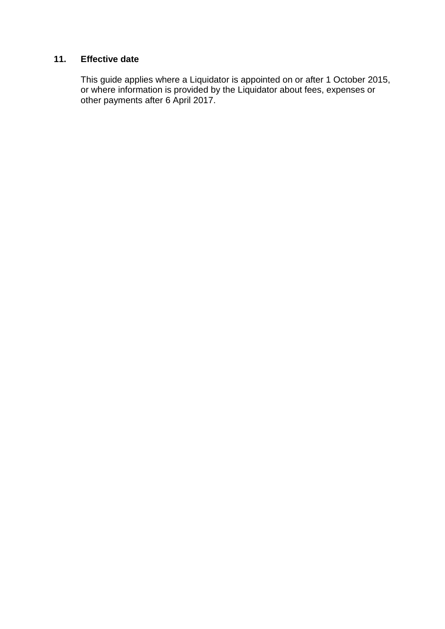# **11. Effective date**

This guide applies where a Liquidator is appointed on or after 1 October 2015, or where information is provided by the Liquidator about fees, expenses or other payments after 6 April 2017.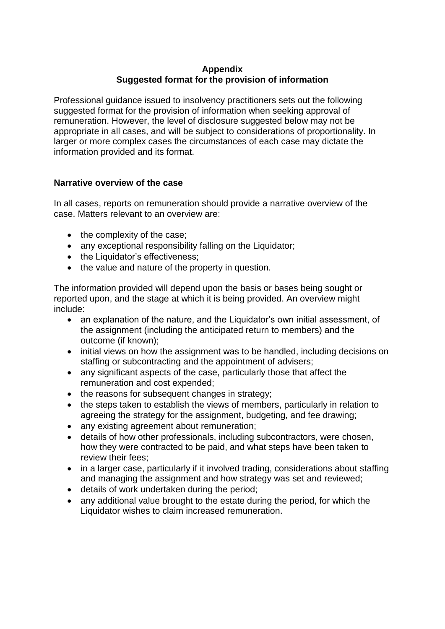# **Appendix Suggested format for the provision of information**

Professional guidance issued to insolvency practitioners sets out the following suggested format for the provision of information when seeking approval of remuneration. However, the level of disclosure suggested below may not be appropriate in all cases, and will be subject to considerations of proportionality. In larger or more complex cases the circumstances of each case may dictate the information provided and its format.

## **Narrative overview of the case**

In all cases, reports on remuneration should provide a narrative overview of the case. Matters relevant to an overview are:

- the complexity of the case;
- any exceptional responsibility falling on the Liquidator;
- the Liquidator's effectiveness;
- the value and nature of the property in question.

The information provided will depend upon the basis or bases being sought or reported upon, and the stage at which it is being provided. An overview might include:

- an explanation of the nature, and the Liquidator's own initial assessment, of the assignment (including the anticipated return to members) and the outcome (if known);
- initial views on how the assignment was to be handled, including decisions on staffing or subcontracting and the appointment of advisers;
- any significant aspects of the case, particularly those that affect the remuneration and cost expended;
- the reasons for subsequent changes in strategy;
- the steps taken to establish the views of members, particularly in relation to agreeing the strategy for the assignment, budgeting, and fee drawing;
- any existing agreement about remuneration;
- details of how other professionals, including subcontractors, were chosen, how they were contracted to be paid, and what steps have been taken to review their fees;
- in a larger case, particularly if it involved trading, considerations about staffing and managing the assignment and how strategy was set and reviewed;
- details of work undertaken during the period;
- any additional value brought to the estate during the period, for which the Liquidator wishes to claim increased remuneration.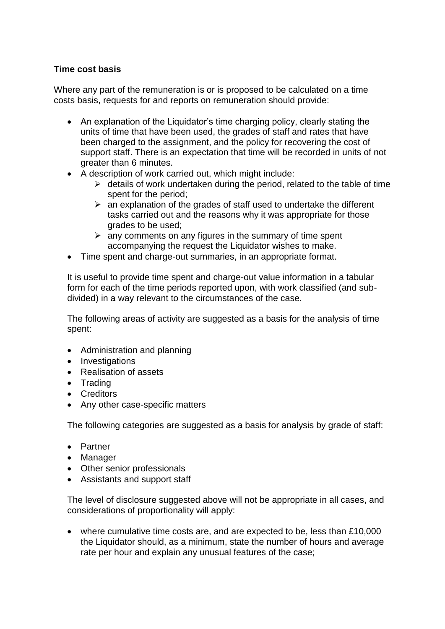## **Time cost basis**

Where any part of the remuneration is or is proposed to be calculated on a time costs basis, requests for and reports on remuneration should provide:

- An explanation of the Liquidator's time charging policy, clearly stating the units of time that have been used, the grades of staff and rates that have been charged to the assignment, and the policy for recovering the cost of support staff. There is an expectation that time will be recorded in units of not greater than 6 minutes.
- A description of work carried out, which might include:
	- $\triangleright$  details of work undertaken during the period, related to the table of time spent for the period;
	- $\triangleright$  an explanation of the grades of staff used to undertake the different tasks carried out and the reasons why it was appropriate for those grades to be used;
	- $\triangleright$  any comments on any figures in the summary of time spent accompanying the request the Liquidator wishes to make.
- Time spent and charge-out summaries, in an appropriate format.

It is useful to provide time spent and charge-out value information in a tabular form for each of the time periods reported upon, with work classified (and subdivided) in a way relevant to the circumstances of the case.

The following areas of activity are suggested as a basis for the analysis of time spent:

- Administration and planning
- Investigations
- Realisation of assets
- Trading
- Creditors
- Any other case-specific matters

The following categories are suggested as a basis for analysis by grade of staff:

- Partner
- Manager
- Other senior professionals
- Assistants and support staff

The level of disclosure suggested above will not be appropriate in all cases, and considerations of proportionality will apply:

• where cumulative time costs are, and are expected to be, less than £10,000 the Liquidator should, as a minimum, state the number of hours and average rate per hour and explain any unusual features of the case;